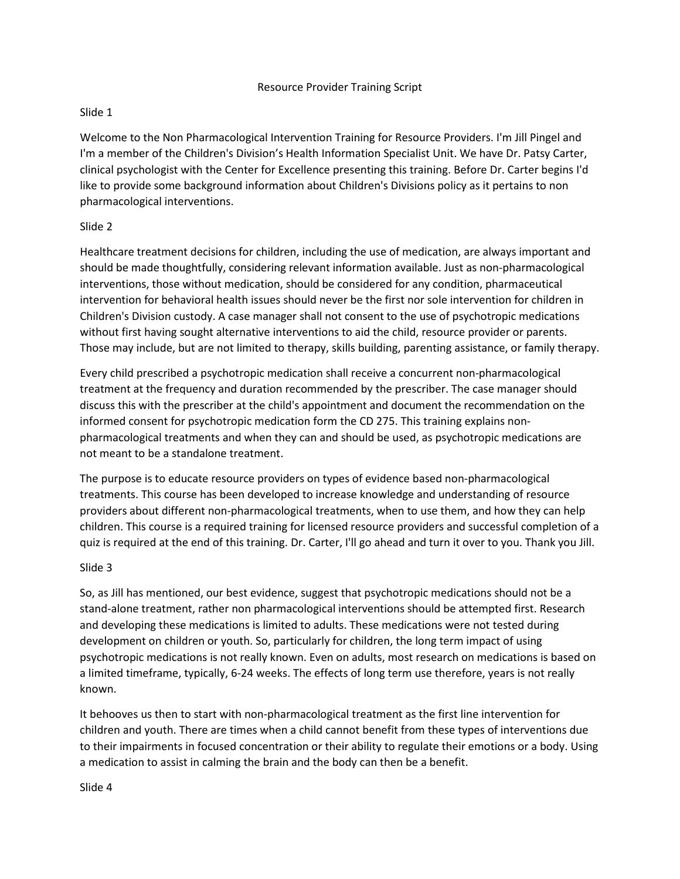### Resource Provider Training Script

# Slide 1

Welcome to the Non Pharmacological Intervention Training for Resource Providers. I'm Jill Pingel and I'm a member of the Children's Division's Health Information Specialist Unit. We have Dr. Patsy Carter, clinical psychologist with the Center for Excellence presenting this training. Before Dr. Carter begins I'd like to provide some background information about Children's Divisions policy as it pertains to non pharmacological interventions.

# Slide 2

Healthcare treatment decisions for children, including the use of medication, are always important and should be made thoughtfully, considering relevant information available. Just as non-pharmacological interventions, those without medication, should be considered for any condition, pharmaceutical intervention for behavioral health issues should never be the first nor sole intervention for children in Children's Division custody. A case manager shall not consent to the use of psychotropic medications without first having sought alternative interventions to aid the child, resource provider or parents. Those may include, but are not limited to therapy, skills building, parenting assistance, or family therapy.

Every child prescribed a psychotropic medication shall receive a concurrent non-pharmacological treatment at the frequency and duration recommended by the prescriber. The case manager should discuss this with the prescriber at the child's appointment and document the recommendation on the informed consent for psychotropic medication form the CD 275. This training explains nonpharmacological treatments and when they can and should be used, as psychotropic medications are not meant to be a standalone treatment.

The purpose is to educate resource providers on types of evidence based non-pharmacological treatments. This course has been developed to increase knowledge and understanding of resource providers about different non-pharmacological treatments, when to use them, and how they can help children. This course is a required training for licensed resource providers and successful completion of a quiz is required at the end of this training. Dr. Carter, I'll go ahead and turn it over to you. Thank you Jill.

# Slide 3

So, as Jill has mentioned, our best evidence, suggest that psychotropic medications should not be a stand-alone treatment, rather non pharmacological interventions should be attempted first. Research and developing these medications is limited to adults. These medications were not tested during development on children or youth. So, particularly for children, the long term impact of using psychotropic medications is not really known. Even on adults, most research on medications is based on a limited timeframe, typically, 6-24 weeks. The effects of long term use therefore, years is not really known.

It behooves us then to start with non-pharmacological treatment as the first line intervention for children and youth. There are times when a child cannot benefit from these types of interventions due to their impairments in focused concentration or their ability to regulate their emotions or a body. Using a medication to assist in calming the brain and the body can then be a benefit.

Slide 4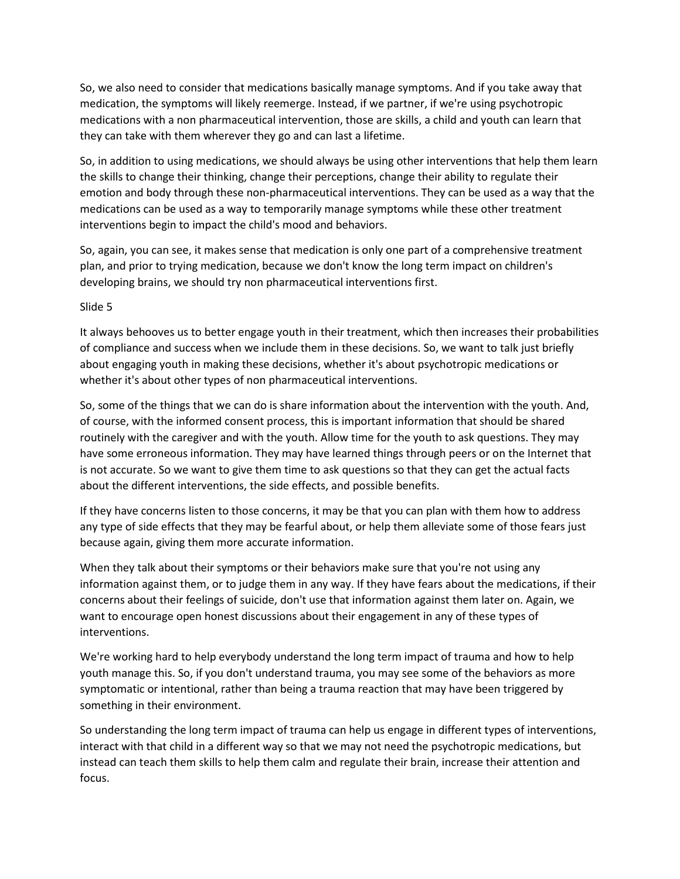So, we also need to consider that medications basically manage symptoms. And if you take away that medication, the symptoms will likely reemerge. Instead, if we partner, if we're using psychotropic medications with a non pharmaceutical intervention, those are skills, a child and youth can learn that they can take with them wherever they go and can last a lifetime.

So, in addition to using medications, we should always be using other interventions that help them learn the skills to change their thinking, change their perceptions, change their ability to regulate their emotion and body through these non-pharmaceutical interventions. They can be used as a way that the medications can be used as a way to temporarily manage symptoms while these other treatment interventions begin to impact the child's mood and behaviors.

So, again, you can see, it makes sense that medication is only one part of a comprehensive treatment plan, and prior to trying medication, because we don't know the long term impact on children's developing brains, we should try non pharmaceutical interventions first.

Slide 5

It always behooves us to better engage youth in their treatment, which then increases their probabilities of compliance and success when we include them in these decisions. So, we want to talk just briefly about engaging youth in making these decisions, whether it's about psychotropic medications or whether it's about other types of non pharmaceutical interventions.

So, some of the things that we can do is share information about the intervention with the youth. And, of course, with the informed consent process, this is important information that should be shared routinely with the caregiver and with the youth. Allow time for the youth to ask questions. They may have some erroneous information. They may have learned things through peers or on the Internet that is not accurate. So we want to give them time to ask questions so that they can get the actual facts about the different interventions, the side effects, and possible benefits.

If they have concerns listen to those concerns, it may be that you can plan with them how to address any type of side effects that they may be fearful about, or help them alleviate some of those fears just because again, giving them more accurate information.

When they talk about their symptoms or their behaviors make sure that you're not using any information against them, or to judge them in any way. If they have fears about the medications, if their concerns about their feelings of suicide, don't use that information against them later on. Again, we want to encourage open honest discussions about their engagement in any of these types of interventions.

We're working hard to help everybody understand the long term impact of trauma and how to help youth manage this. So, if you don't understand trauma, you may see some of the behaviors as more symptomatic or intentional, rather than being a trauma reaction that may have been triggered by something in their environment.

So understanding the long term impact of trauma can help us engage in different types of interventions, interact with that child in a different way so that we may not need the psychotropic medications, but instead can teach them skills to help them calm and regulate their brain, increase their attention and focus.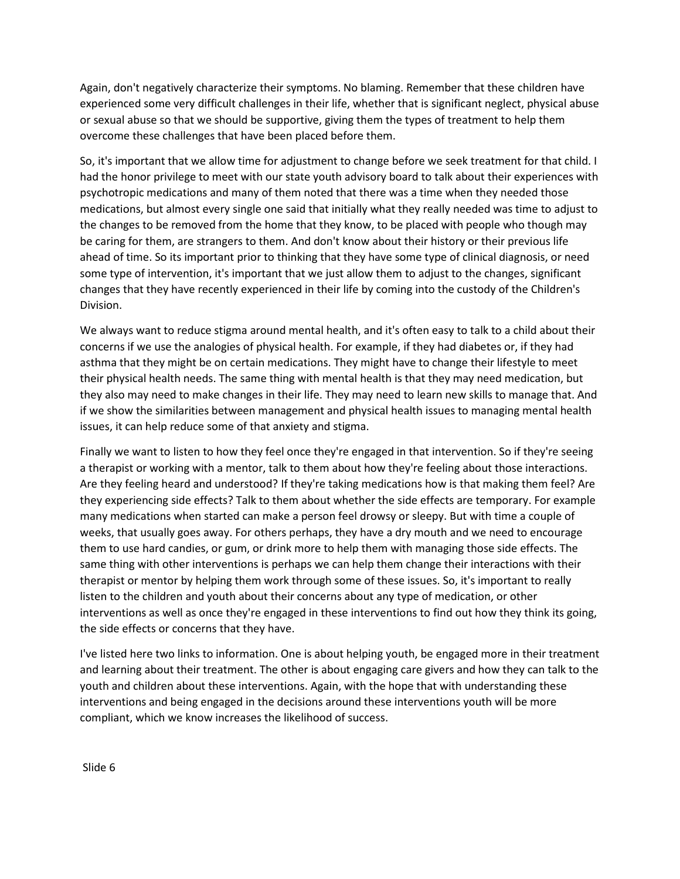Again, don't negatively characterize their symptoms. No blaming. Remember that these children have experienced some very difficult challenges in their life, whether that is significant neglect, physical abuse or sexual abuse so that we should be supportive, giving them the types of treatment to help them overcome these challenges that have been placed before them.

So, it's important that we allow time for adjustment to change before we seek treatment for that child. I had the honor privilege to meet with our state youth advisory board to talk about their experiences with psychotropic medications and many of them noted that there was a time when they needed those medications, but almost every single one said that initially what they really needed was time to adjust to the changes to be removed from the home that they know, to be placed with people who though may be caring for them, are strangers to them. And don't know about their history or their previous life ahead of time. So its important prior to thinking that they have some type of clinical diagnosis, or need some type of intervention, it's important that we just allow them to adjust to the changes, significant changes that they have recently experienced in their life by coming into the custody of the Children's Division.

We always want to reduce stigma around mental health, and it's often easy to talk to a child about their concerns if we use the analogies of physical health. For example, if they had diabetes or, if they had asthma that they might be on certain medications. They might have to change their lifestyle to meet their physical health needs. The same thing with mental health is that they may need medication, but they also may need to make changes in their life. They may need to learn new skills to manage that. And if we show the similarities between management and physical health issues to managing mental health issues, it can help reduce some of that anxiety and stigma.

Finally we want to listen to how they feel once they're engaged in that intervention. So if they're seeing a therapist or working with a mentor, talk to them about how they're feeling about those interactions. Are they feeling heard and understood? If they're taking medications how is that making them feel? Are they experiencing side effects? Talk to them about whether the side effects are temporary. For example many medications when started can make a person feel drowsy or sleepy. But with time a couple of weeks, that usually goes away. For others perhaps, they have a dry mouth and we need to encourage them to use hard candies, or gum, or drink more to help them with managing those side effects. The same thing with other interventions is perhaps we can help them change their interactions with their therapist or mentor by helping them work through some of these issues. So, it's important to really listen to the children and youth about their concerns about any type of medication, or other interventions as well as once they're engaged in these interventions to find out how they think its going, the side effects or concerns that they have.

I've listed here two links to information. One is about helping youth, be engaged more in their treatment and learning about their treatment. The other is about engaging care givers and how they can talk to the youth and children about these interventions. Again, with the hope that with understanding these interventions and being engaged in the decisions around these interventions youth will be more compliant, which we know increases the likelihood of success.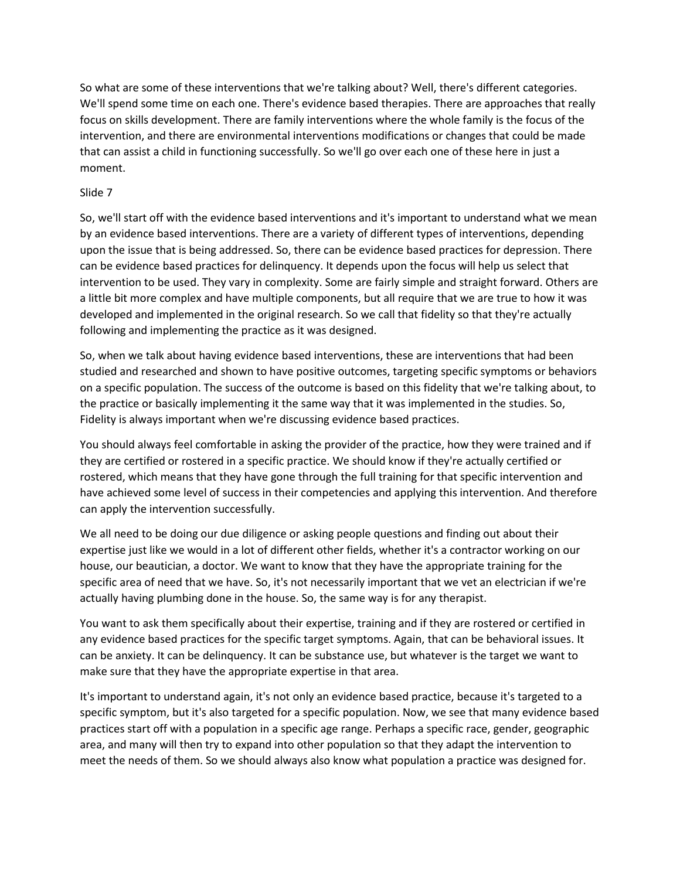So what are some of these interventions that we're talking about? Well, there's different categories. We'll spend some time on each one. There's evidence based therapies. There are approaches that really focus on skills development. There are family interventions where the whole family is the focus of the intervention, and there are environmental interventions modifications or changes that could be made that can assist a child in functioning successfully. So we'll go over each one of these here in just a moment.

# Slide 7

So, we'll start off with the evidence based interventions and it's important to understand what we mean by an evidence based interventions. There are a variety of different types of interventions, depending upon the issue that is being addressed. So, there can be evidence based practices for depression. There can be evidence based practices for delinquency. It depends upon the focus will help us select that intervention to be used. They vary in complexity. Some are fairly simple and straight forward. Others are a little bit more complex and have multiple components, but all require that we are true to how it was developed and implemented in the original research. So we call that fidelity so that they're actually following and implementing the practice as it was designed.

So, when we talk about having evidence based interventions, these are interventions that had been studied and researched and shown to have positive outcomes, targeting specific symptoms or behaviors on a specific population. The success of the outcome is based on this fidelity that we're talking about, to the practice or basically implementing it the same way that it was implemented in the studies. So, Fidelity is always important when we're discussing evidence based practices.

You should always feel comfortable in asking the provider of the practice, how they were trained and if they are certified or rostered in a specific practice. We should know if they're actually certified or rostered, which means that they have gone through the full training for that specific intervention and have achieved some level of success in their competencies and applying this intervention. And therefore can apply the intervention successfully.

We all need to be doing our due diligence or asking people questions and finding out about their expertise just like we would in a lot of different other fields, whether it's a contractor working on our house, our beautician, a doctor. We want to know that they have the appropriate training for the specific area of need that we have. So, it's not necessarily important that we vet an electrician if we're actually having plumbing done in the house. So, the same way is for any therapist.

You want to ask them specifically about their expertise, training and if they are rostered or certified in any evidence based practices for the specific target symptoms. Again, that can be behavioral issues. It can be anxiety. It can be delinquency. It can be substance use, but whatever is the target we want to make sure that they have the appropriate expertise in that area.

It's important to understand again, it's not only an evidence based practice, because it's targeted to a specific symptom, but it's also targeted for a specific population. Now, we see that many evidence based practices start off with a population in a specific age range. Perhaps a specific race, gender, geographic area, and many will then try to expand into other population so that they adapt the intervention to meet the needs of them. So we should always also know what population a practice was designed for.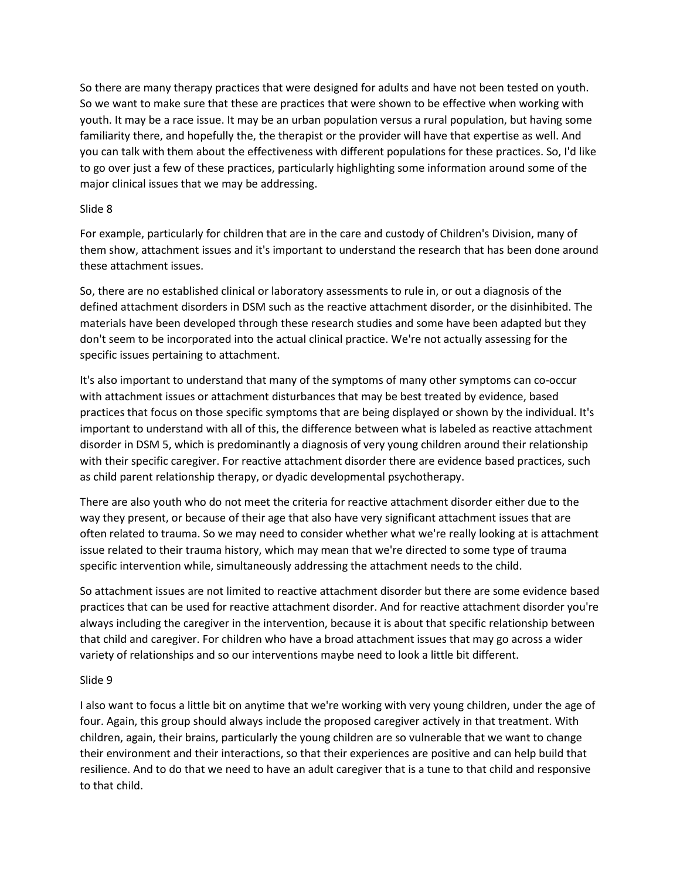So there are many therapy practices that were designed for adults and have not been tested on youth. So we want to make sure that these are practices that were shown to be effective when working with youth. It may be a race issue. It may be an urban population versus a rural population, but having some familiarity there, and hopefully the, the therapist or the provider will have that expertise as well. And you can talk with them about the effectiveness with different populations for these practices. So, I'd like to go over just a few of these practices, particularly highlighting some information around some of the major clinical issues that we may be addressing.

### Slide 8

For example, particularly for children that are in the care and custody of Children's Division, many of them show, attachment issues and it's important to understand the research that has been done around these attachment issues.

So, there are no established clinical or laboratory assessments to rule in, or out a diagnosis of the defined attachment disorders in DSM such as the reactive attachment disorder, or the disinhibited. The materials have been developed through these research studies and some have been adapted but they don't seem to be incorporated into the actual clinical practice. We're not actually assessing for the specific issues pertaining to attachment.

It's also important to understand that many of the symptoms of many other symptoms can co-occur with attachment issues or attachment disturbances that may be best treated by evidence, based practices that focus on those specific symptoms that are being displayed or shown by the individual. It's important to understand with all of this, the difference between what is labeled as reactive attachment disorder in DSM 5, which is predominantly a diagnosis of very young children around their relationship with their specific caregiver. For reactive attachment disorder there are evidence based practices, such as child parent relationship therapy, or dyadic developmental psychotherapy.

There are also youth who do not meet the criteria for reactive attachment disorder either due to the way they present, or because of their age that also have very significant attachment issues that are often related to trauma. So we may need to consider whether what we're really looking at is attachment issue related to their trauma history, which may mean that we're directed to some type of trauma specific intervention while, simultaneously addressing the attachment needs to the child.

So attachment issues are not limited to reactive attachment disorder but there are some evidence based practices that can be used for reactive attachment disorder. And for reactive attachment disorder you're always including the caregiver in the intervention, because it is about that specific relationship between that child and caregiver. For children who have a broad attachment issues that may go across a wider variety of relationships and so our interventions maybe need to look a little bit different.

#### Slide 9

I also want to focus a little bit on anytime that we're working with very young children, under the age of four. Again, this group should always include the proposed caregiver actively in that treatment. With children, again, their brains, particularly the young children are so vulnerable that we want to change their environment and their interactions, so that their experiences are positive and can help build that resilience. And to do that we need to have an adult caregiver that is a tune to that child and responsive to that child.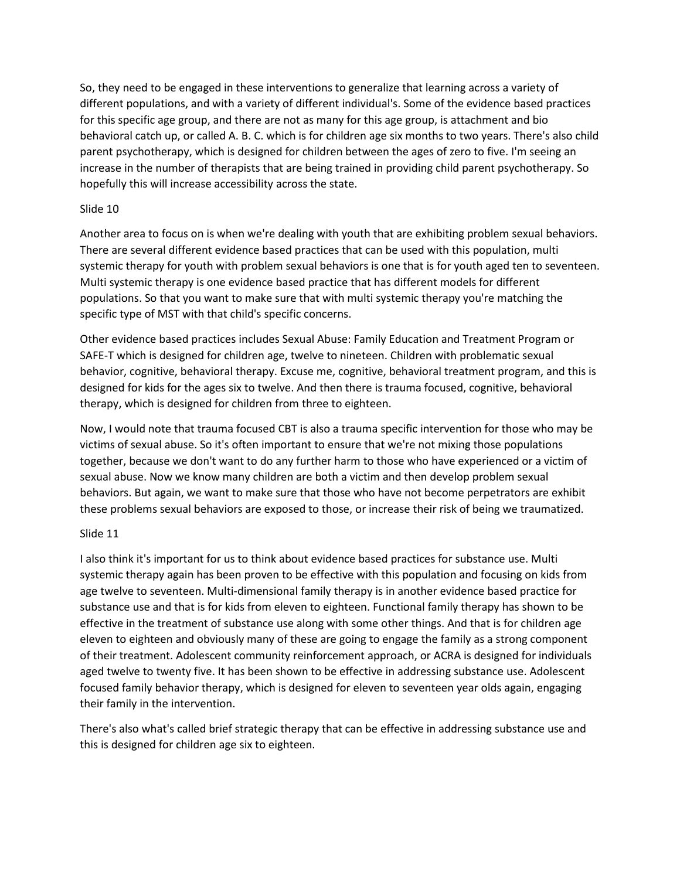So, they need to be engaged in these interventions to generalize that learning across a variety of different populations, and with a variety of different individual's. Some of the evidence based practices for this specific age group, and there are not as many for this age group, is attachment and bio behavioral catch up, or called A. B. C. which is for children age six months to two years. There's also child parent psychotherapy, which is designed for children between the ages of zero to five. I'm seeing an increase in the number of therapists that are being trained in providing child parent psychotherapy. So hopefully this will increase accessibility across the state.

# Slide 10

Another area to focus on is when we're dealing with youth that are exhibiting problem sexual behaviors. There are several different evidence based practices that can be used with this population, multi systemic therapy for youth with problem sexual behaviors is one that is for youth aged ten to seventeen. Multi systemic therapy is one evidence based practice that has different models for different populations. So that you want to make sure that with multi systemic therapy you're matching the specific type of MST with that child's specific concerns.

Other evidence based practices includes Sexual Abuse: Family Education and Treatment Program or SAFE-T which is designed for children age, twelve to nineteen. Children with problematic sexual behavior, cognitive, behavioral therapy. Excuse me, cognitive, behavioral treatment program, and this is designed for kids for the ages six to twelve. And then there is trauma focused, cognitive, behavioral therapy, which is designed for children from three to eighteen.

Now, I would note that trauma focused CBT is also a trauma specific intervention for those who may be victims of sexual abuse. So it's often important to ensure that we're not mixing those populations together, because we don't want to do any further harm to those who have experienced or a victim of sexual abuse. Now we know many children are both a victim and then develop problem sexual behaviors. But again, we want to make sure that those who have not become perpetrators are exhibit these problems sexual behaviors are exposed to those, or increase their risk of being we traumatized.

# Slide 11

I also think it's important for us to think about evidence based practices for substance use. Multi systemic therapy again has been proven to be effective with this population and focusing on kids from age twelve to seventeen. Multi-dimensional family therapy is in another evidence based practice for substance use and that is for kids from eleven to eighteen. Functional family therapy has shown to be effective in the treatment of substance use along with some other things. And that is for children age eleven to eighteen and obviously many of these are going to engage the family as a strong component of their treatment. Adolescent community reinforcement approach, or ACRA is designed for individuals aged twelve to twenty five. It has been shown to be effective in addressing substance use. Adolescent focused family behavior therapy, which is designed for eleven to seventeen year olds again, engaging their family in the intervention.

There's also what's called brief strategic therapy that can be effective in addressing substance use and this is designed for children age six to eighteen.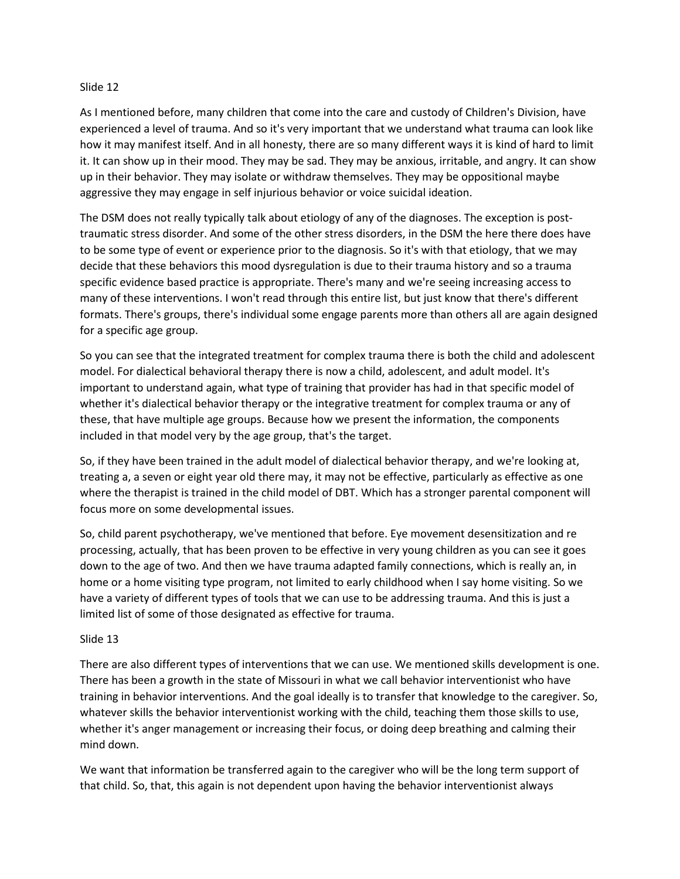#### Slide 12

As I mentioned before, many children that come into the care and custody of Children's Division, have experienced a level of trauma. And so it's very important that we understand what trauma can look like how it may manifest itself. And in all honesty, there are so many different ways it is kind of hard to limit it. It can show up in their mood. They may be sad. They may be anxious, irritable, and angry. It can show up in their behavior. They may isolate or withdraw themselves. They may be oppositional maybe aggressive they may engage in self injurious behavior or voice suicidal ideation.

The DSM does not really typically talk about etiology of any of the diagnoses. The exception is posttraumatic stress disorder. And some of the other stress disorders, in the DSM the here there does have to be some type of event or experience prior to the diagnosis. So it's with that etiology, that we may decide that these behaviors this mood dysregulation is due to their trauma history and so a trauma specific evidence based practice is appropriate. There's many and we're seeing increasing access to many of these interventions. I won't read through this entire list, but just know that there's different formats. There's groups, there's individual some engage parents more than others all are again designed for a specific age group.

So you can see that the integrated treatment for complex trauma there is both the child and adolescent model. For dialectical behavioral therapy there is now a child, adolescent, and adult model. It's important to understand again, what type of training that provider has had in that specific model of whether it's dialectical behavior therapy or the integrative treatment for complex trauma or any of these, that have multiple age groups. Because how we present the information, the components included in that model very by the age group, that's the target.

So, if they have been trained in the adult model of dialectical behavior therapy, and we're looking at, treating a, a seven or eight year old there may, it may not be effective, particularly as effective as one where the therapist is trained in the child model of DBT. Which has a stronger parental component will focus more on some developmental issues.

So, child parent psychotherapy, we've mentioned that before. Eye movement desensitization and re processing, actually, that has been proven to be effective in very young children as you can see it goes down to the age of two. And then we have trauma adapted family connections, which is really an, in home or a home visiting type program, not limited to early childhood when I say home visiting. So we have a variety of different types of tools that we can use to be addressing trauma. And this is just a limited list of some of those designated as effective for trauma.

#### Slide 13

There are also different types of interventions that we can use. We mentioned skills development is one. There has been a growth in the state of Missouri in what we call behavior interventionist who have training in behavior interventions. And the goal ideally is to transfer that knowledge to the caregiver. So, whatever skills the behavior interventionist working with the child, teaching them those skills to use, whether it's anger management or increasing their focus, or doing deep breathing and calming their mind down.

We want that information be transferred again to the caregiver who will be the long term support of that child. So, that, this again is not dependent upon having the behavior interventionist always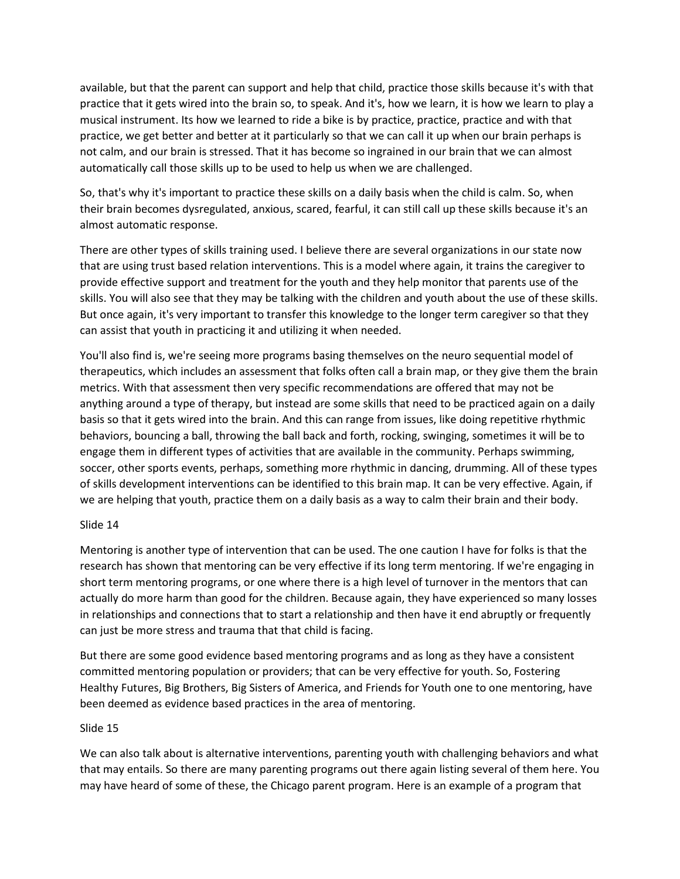available, but that the parent can support and help that child, practice those skills because it's with that practice that it gets wired into the brain so, to speak. And it's, how we learn, it is how we learn to play a musical instrument. Its how we learned to ride a bike is by practice, practice, practice and with that practice, we get better and better at it particularly so that we can call it up when our brain perhaps is not calm, and our brain is stressed. That it has become so ingrained in our brain that we can almost automatically call those skills up to be used to help us when we are challenged.

So, that's why it's important to practice these skills on a daily basis when the child is calm. So, when their brain becomes dysregulated, anxious, scared, fearful, it can still call up these skills because it's an almost automatic response.

There are other types of skills training used. I believe there are several organizations in our state now that are using trust based relation interventions. This is a model where again, it trains the caregiver to provide effective support and treatment for the youth and they help monitor that parents use of the skills. You will also see that they may be talking with the children and youth about the use of these skills. But once again, it's very important to transfer this knowledge to the longer term caregiver so that they can assist that youth in practicing it and utilizing it when needed.

You'll also find is, we're seeing more programs basing themselves on the neuro sequential model of therapeutics, which includes an assessment that folks often call a brain map, or they give them the brain metrics. With that assessment then very specific recommendations are offered that may not be anything around a type of therapy, but instead are some skills that need to be practiced again on a daily basis so that it gets wired into the brain. And this can range from issues, like doing repetitive rhythmic behaviors, bouncing a ball, throwing the ball back and forth, rocking, swinging, sometimes it will be to engage them in different types of activities that are available in the community. Perhaps swimming, soccer, other sports events, perhaps, something more rhythmic in dancing, drumming. All of these types of skills development interventions can be identified to this brain map. It can be very effective. Again, if we are helping that youth, practice them on a daily basis as a way to calm their brain and their body.

# Slide 14

Mentoring is another type of intervention that can be used. The one caution I have for folks is that the research has shown that mentoring can be very effective if its long term mentoring. If we're engaging in short term mentoring programs, or one where there is a high level of turnover in the mentors that can actually do more harm than good for the children. Because again, they have experienced so many losses in relationships and connections that to start a relationship and then have it end abruptly or frequently can just be more stress and trauma that that child is facing.

But there are some good evidence based mentoring programs and as long as they have a consistent committed mentoring population or providers; that can be very effective for youth. So, Fostering Healthy Futures, Big Brothers, Big Sisters of America, and Friends for Youth one to one mentoring, have been deemed as evidence based practices in the area of mentoring.

#### Slide 15

We can also talk about is alternative interventions, parenting youth with challenging behaviors and what that may entails. So there are many parenting programs out there again listing several of them here. You may have heard of some of these, the Chicago parent program. Here is an example of a program that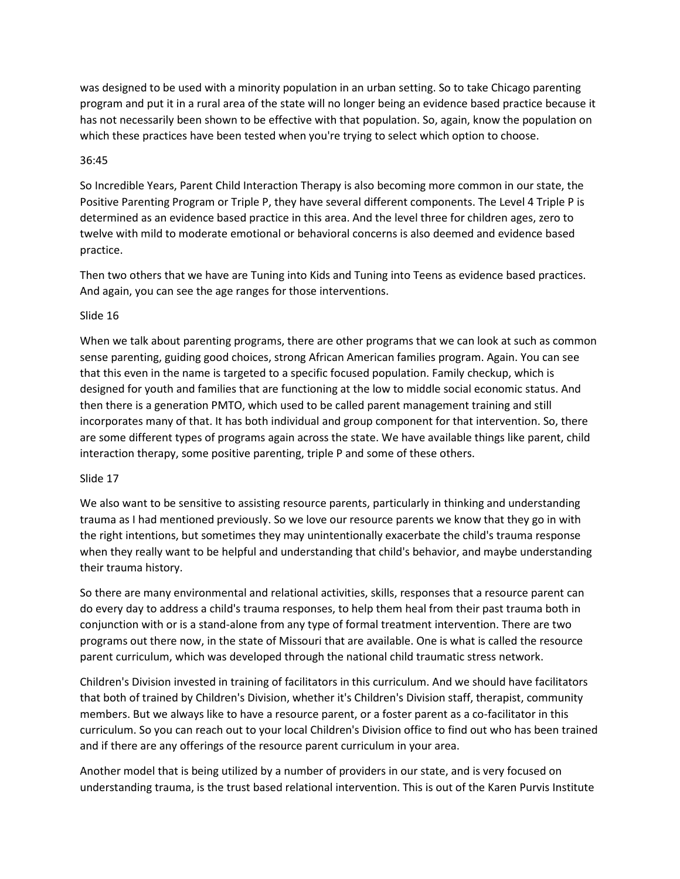was designed to be used with a minority population in an urban setting. So to take Chicago parenting program and put it in a rural area of the state will no longer being an evidence based practice because it has not necessarily been shown to be effective with that population. So, again, know the population on which these practices have been tested when you're trying to select which option to choose.

### 36:45

So Incredible Years, Parent Child Interaction Therapy is also becoming more common in our state, the Positive Parenting Program or Triple P, they have several different components. The Level 4 Triple P is determined as an evidence based practice in this area. And the level three for children ages, zero to twelve with mild to moderate emotional or behavioral concerns is also deemed and evidence based practice.

Then two others that we have are Tuning into Kids and Tuning into Teens as evidence based practices. And again, you can see the age ranges for those interventions.

### Slide 16

When we talk about parenting programs, there are other programs that we can look at such as common sense parenting, guiding good choices, strong African American families program. Again. You can see that this even in the name is targeted to a specific focused population. Family checkup, which is designed for youth and families that are functioning at the low to middle social economic status. And then there is a generation PMTO, which used to be called parent management training and still incorporates many of that. It has both individual and group component for that intervention. So, there are some different types of programs again across the state. We have available things like parent, child interaction therapy, some positive parenting, triple P and some of these others.

# Slide 17

We also want to be sensitive to assisting resource parents, particularly in thinking and understanding trauma as I had mentioned previously. So we love our resource parents we know that they go in with the right intentions, but sometimes they may unintentionally exacerbate the child's trauma response when they really want to be helpful and understanding that child's behavior, and maybe understanding their trauma history.

So there are many environmental and relational activities, skills, responses that a resource parent can do every day to address a child's trauma responses, to help them heal from their past trauma both in conjunction with or is a stand-alone from any type of formal treatment intervention. There are two programs out there now, in the state of Missouri that are available. One is what is called the resource parent curriculum, which was developed through the national child traumatic stress network.

Children's Division invested in training of facilitators in this curriculum. And we should have facilitators that both of trained by Children's Division, whether it's Children's Division staff, therapist, community members. But we always like to have a resource parent, or a foster parent as a co-facilitator in this curriculum. So you can reach out to your local Children's Division office to find out who has been trained and if there are any offerings of the resource parent curriculum in your area.

Another model that is being utilized by a number of providers in our state, and is very focused on understanding trauma, is the trust based relational intervention. This is out of the Karen Purvis Institute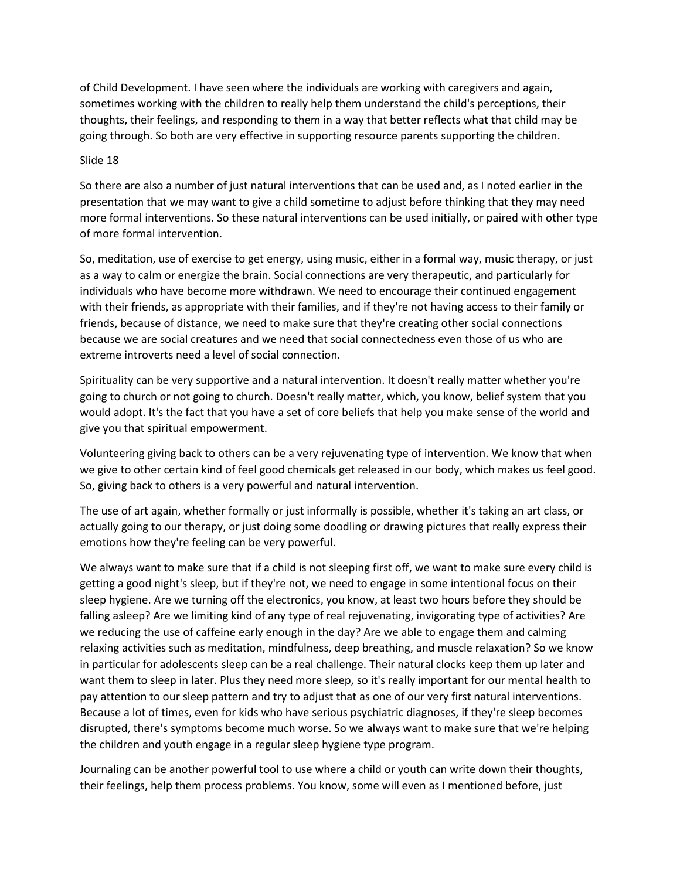of Child Development. I have seen where the individuals are working with caregivers and again, sometimes working with the children to really help them understand the child's perceptions, their thoughts, their feelings, and responding to them in a way that better reflects what that child may be going through. So both are very effective in supporting resource parents supporting the children.

### Slide 18

So there are also a number of just natural interventions that can be used and, as I noted earlier in the presentation that we may want to give a child sometime to adjust before thinking that they may need more formal interventions. So these natural interventions can be used initially, or paired with other type of more formal intervention.

So, meditation, use of exercise to get energy, using music, either in a formal way, music therapy, or just as a way to calm or energize the brain. Social connections are very therapeutic, and particularly for individuals who have become more withdrawn. We need to encourage their continued engagement with their friends, as appropriate with their families, and if they're not having access to their family or friends, because of distance, we need to make sure that they're creating other social connections because we are social creatures and we need that social connectedness even those of us who are extreme introverts need a level of social connection.

Spirituality can be very supportive and a natural intervention. It doesn't really matter whether you're going to church or not going to church. Doesn't really matter, which, you know, belief system that you would adopt. It's the fact that you have a set of core beliefs that help you make sense of the world and give you that spiritual empowerment.

Volunteering giving back to others can be a very rejuvenating type of intervention. We know that when we give to other certain kind of feel good chemicals get released in our body, which makes us feel good. So, giving back to others is a very powerful and natural intervention.

The use of art again, whether formally or just informally is possible, whether it's taking an art class, or actually going to our therapy, or just doing some doodling or drawing pictures that really express their emotions how they're feeling can be very powerful.

We always want to make sure that if a child is not sleeping first off, we want to make sure every child is getting a good night's sleep, but if they're not, we need to engage in some intentional focus on their sleep hygiene. Are we turning off the electronics, you know, at least two hours before they should be falling asleep? Are we limiting kind of any type of real rejuvenating, invigorating type of activities? Are we reducing the use of caffeine early enough in the day? Are we able to engage them and calming relaxing activities such as meditation, mindfulness, deep breathing, and muscle relaxation? So we know in particular for adolescents sleep can be a real challenge. Their natural clocks keep them up later and want them to sleep in later. Plus they need more sleep, so it's really important for our mental health to pay attention to our sleep pattern and try to adjust that as one of our very first natural interventions. Because a lot of times, even for kids who have serious psychiatric diagnoses, if they're sleep becomes disrupted, there's symptoms become much worse. So we always want to make sure that we're helping the children and youth engage in a regular sleep hygiene type program.

Journaling can be another powerful tool to use where a child or youth can write down their thoughts, their feelings, help them process problems. You know, some will even as I mentioned before, just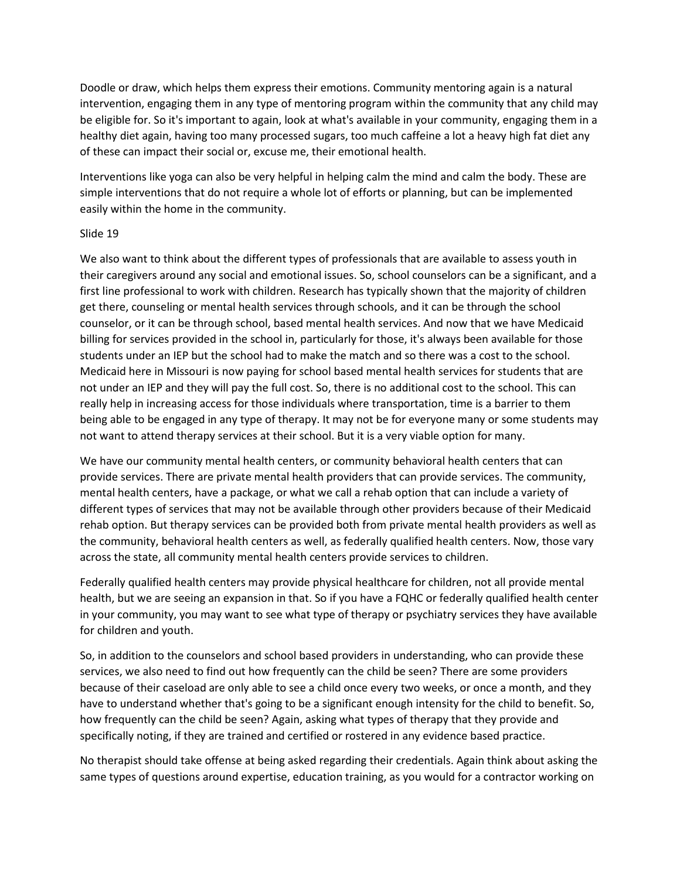Doodle or draw, which helps them express their emotions. Community mentoring again is a natural intervention, engaging them in any type of mentoring program within the community that any child may be eligible for. So it's important to again, look at what's available in your community, engaging them in a healthy diet again, having too many processed sugars, too much caffeine a lot a heavy high fat diet any of these can impact their social or, excuse me, their emotional health.

Interventions like yoga can also be very helpful in helping calm the mind and calm the body. These are simple interventions that do not require a whole lot of efforts or planning, but can be implemented easily within the home in the community.

### Slide 19

We also want to think about the different types of professionals that are available to assess youth in their caregivers around any social and emotional issues. So, school counselors can be a significant, and a first line professional to work with children. Research has typically shown that the majority of children get there, counseling or mental health services through schools, and it can be through the school counselor, or it can be through school, based mental health services. And now that we have Medicaid billing for services provided in the school in, particularly for those, it's always been available for those students under an IEP but the school had to make the match and so there was a cost to the school. Medicaid here in Missouri is now paying for school based mental health services for students that are not under an IEP and they will pay the full cost. So, there is no additional cost to the school. This can really help in increasing access for those individuals where transportation, time is a barrier to them being able to be engaged in any type of therapy. It may not be for everyone many or some students may not want to attend therapy services at their school. But it is a very viable option for many.

We have our community mental health centers, or community behavioral health centers that can provide services. There are private mental health providers that can provide services. The community, mental health centers, have a package, or what we call a rehab option that can include a variety of different types of services that may not be available through other providers because of their Medicaid rehab option. But therapy services can be provided both from private mental health providers as well as the community, behavioral health centers as well, as federally qualified health centers. Now, those vary across the state, all community mental health centers provide services to children.

Federally qualified health centers may provide physical healthcare for children, not all provide mental health, but we are seeing an expansion in that. So if you have a FQHC or federally qualified health center in your community, you may want to see what type of therapy or psychiatry services they have available for children and youth.

So, in addition to the counselors and school based providers in understanding, who can provide these services, we also need to find out how frequently can the child be seen? There are some providers because of their caseload are only able to see a child once every two weeks, or once a month, and they have to understand whether that's going to be a significant enough intensity for the child to benefit. So, how frequently can the child be seen? Again, asking what types of therapy that they provide and specifically noting, if they are trained and certified or rostered in any evidence based practice.

No therapist should take offense at being asked regarding their credentials. Again think about asking the same types of questions around expertise, education training, as you would for a contractor working on